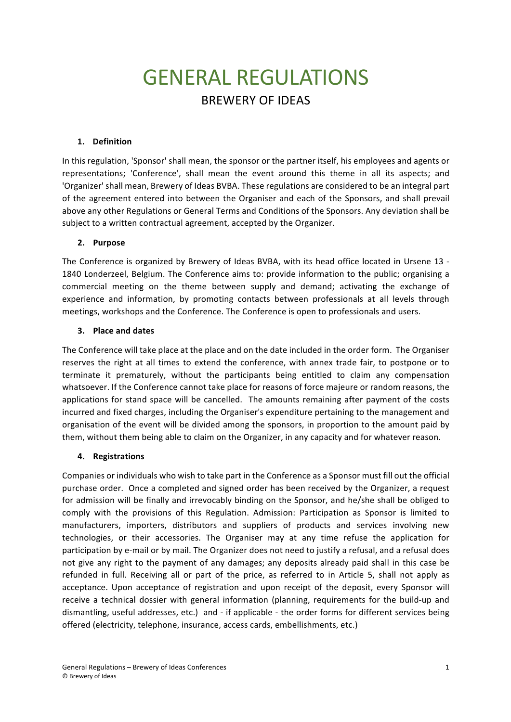# **GENERAL REGULATIONS BREWERY OF IDEAS**

## **1. Definition**

In this regulation, 'Sponsor' shall mean, the sponsor or the partner itself, his employees and agents or representations; 'Conference', shall mean the event around this theme in all its aspects; and 'Organizer' shall mean, Brewery of Ideas BVBA. These regulations are considered to be an integral part of the agreement entered into between the Organiser and each of the Sponsors, and shall prevail above any other Regulations or General Terms and Conditions of the Sponsors. Any deviation shall be subject to a written contractual agreement, accepted by the Organizer.

#### **2. Purpose**

The Conference is organized by Brewery of Ideas BVBA, with its head office located in Ursene 13 -1840 Londerzeel, Belgium. The Conference aims to: provide information to the public; organising a commercial meeting on the theme between supply and demand; activating the exchange of experience and information, by promoting contacts between professionals at all levels through meetings, workshops and the Conference. The Conference is open to professionals and users.

#### **3. Place and dates**

The Conference will take place at the place and on the date included in the order form. The Organiser reserves the right at all times to extend the conference, with annex trade fair, to postpone or to terminate it prematurely, without the participants being entitled to claim any compensation whatsoever. If the Conference cannot take place for reasons of force majeure or random reasons, the applications for stand space will be cancelled. The amounts remaining after payment of the costs incurred and fixed charges, including the Organiser's expenditure pertaining to the management and organisation of the event will be divided among the sponsors, in proportion to the amount paid by them, without them being able to claim on the Organizer, in any capacity and for whatever reason.

## **4. Registrations**

Companies or individuals who wish to take part in the Conference as a Sponsor must fill out the official purchase order. Once a completed and signed order has been received by the Organizer, a request for admission will be finally and irrevocably binding on the Sponsor, and he/she shall be obliged to comply with the provisions of this Regulation. Admission: Participation as Sponsor is limited to manufacturers, importers, distributors and suppliers of products and services involving new technologies, or their accessories. The Organiser may at any time refuse the application for participation by e-mail or by mail. The Organizer does not need to justify a refusal, and a refusal does not give any right to the payment of any damages; any deposits already paid shall in this case be refunded in full. Receiving all or part of the price, as referred to in Article 5, shall not apply as acceptance. Upon acceptance of registration and upon receipt of the deposit, every Sponsor will receive a technical dossier with general information (planning, requirements for the build-up and dismantling, useful addresses, etc.) and - if applicable - the order forms for different services being offered (electricity, telephone, insurance, access cards, embellishments, etc.)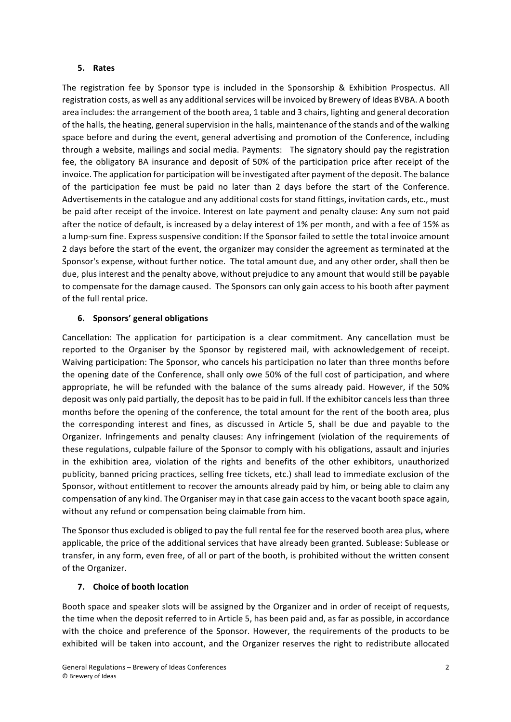#### **5. Rates**

The registration fee by Sponsor type is included in the Sponsorship & Exhibition Prospectus. All registration costs, as well as any additional services will be invoiced by Brewery of Ideas BVBA. A booth area includes: the arrangement of the booth area, 1 table and 3 chairs, lighting and general decoration of the halls, the heating, general supervision in the halls, maintenance of the stands and of the walking space before and during the event, general advertising and promotion of the Conference, including through a website, mailings and social media. Payments: The signatory should pay the registration fee, the obligatory BA insurance and deposit of 50% of the participation price after receipt of the invoice. The application for participation will be investigated after payment of the deposit. The balance of the participation fee must be paid no later than 2 days before the start of the Conference. Advertisements in the catalogue and any additional costs for stand fittings, invitation cards, etc., must be paid after receipt of the invoice. Interest on late payment and penalty clause: Any sum not paid after the notice of default, is increased by a delay interest of 1% per month, and with a fee of 15% as a lump-sum fine. Express suspensive condition: If the Sponsor failed to settle the total invoice amount 2 days before the start of the event, the organizer may consider the agreement as terminated at the Sponsor's expense, without further notice. The total amount due, and any other order, shall then be due, plus interest and the penalty above, without prejudice to any amount that would still be payable to compensate for the damage caused. The Sponsors can only gain access to his booth after payment of the full rental price.

## **6. Sponsors' general obligations**

Cancellation: The application for participation is a clear commitment. Any cancellation must be reported to the Organiser by the Sponsor by registered mail, with acknowledgement of receipt. Waiving participation: The Sponsor, who cancels his participation no later than three months before the opening date of the Conference, shall only owe 50% of the full cost of participation, and where appropriate, he will be refunded with the balance of the sums already paid. However, if the 50% deposit was only paid partially, the deposit has to be paid in full. If the exhibitor cancels less than three months before the opening of the conference, the total amount for the rent of the booth area, plus the corresponding interest and fines, as discussed in Article 5, shall be due and payable to the Organizer. Infringements and penalty clauses: Any infringement (violation of the requirements of these regulations, culpable failure of the Sponsor to comply with his obligations, assault and injuries in the exhibition area, violation of the rights and benefits of the other exhibitors, unauthorized publicity, banned pricing practices, selling free tickets, etc.) shall lead to immediate exclusion of the Sponsor, without entitlement to recover the amounts already paid by him, or being able to claim any compensation of any kind. The Organiser may in that case gain access to the vacant booth space again, without any refund or compensation being claimable from him.

The Sponsor thus excluded is obliged to pay the full rental fee for the reserved booth area plus, where applicable, the price of the additional services that have already been granted. Sublease: Sublease or transfer, in any form, even free, of all or part of the booth, is prohibited without the written consent of the Organizer.

## **7. Choice of booth location**

Booth space and speaker slots will be assigned by the Organizer and in order of receipt of requests, the time when the deposit referred to in Article 5, has been paid and, as far as possible, in accordance with the choice and preference of the Sponsor. However, the requirements of the products to be exhibited will be taken into account, and the Organizer reserves the right to redistribute allocated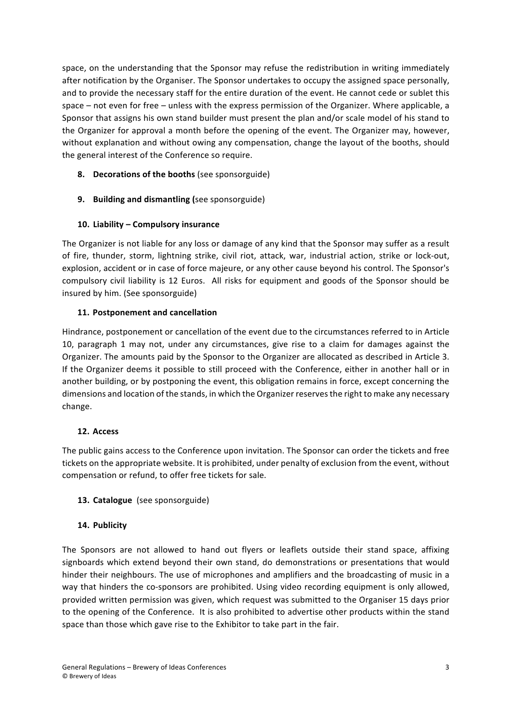space, on the understanding that the Sponsor may refuse the redistribution in writing immediately after notification by the Organiser. The Sponsor undertakes to occupy the assigned space personally, and to provide the necessary staff for the entire duration of the event. He cannot cede or sublet this space – not even for free – unless with the express permission of the Organizer. Where applicable, a Sponsor that assigns his own stand builder must present the plan and/or scale model of his stand to the Organizer for approval a month before the opening of the event. The Organizer may, however, without explanation and without owing any compensation, change the layout of the booths, should the general interest of the Conference so require.

- **8. Decorations of the booths** (see sponsorguide)
- **9. Building and dismantling** (see sponsorguide)

## 10. Liability - Compulsory insurance

The Organizer is not liable for any loss or damage of any kind that the Sponsor may suffer as a result of fire, thunder, storm, lightning strike, civil riot, attack, war, industrial action, strike or lock-out, explosion, accident or in case of force majeure, or any other cause beyond his control. The Sponsor's compulsory civil liability is 12 Euros. All risks for equipment and goods of the Sponsor should be insured by him. (See sponsorguide)

## **11. Postponement and cancellation**

Hindrance, postponement or cancellation of the event due to the circumstances referred to in Article 10, paragraph 1 may not, under any circumstances, give rise to a claim for damages against the Organizer. The amounts paid by the Sponsor to the Organizer are allocated as described in Article 3. If the Organizer deems it possible to still proceed with the Conference, either in another hall or in another building, or by postponing the event, this obligation remains in force, except concerning the dimensions and location of the stands, in which the Organizer reserves the right to make any necessary change.

## **12. Access**

The public gains access to the Conference upon invitation. The Sponsor can order the tickets and free tickets on the appropriate website. It is prohibited, under penalty of exclusion from the event, without compensation or refund, to offer free tickets for sale.

# 13. **Catalogue** (see sponsorguide)

## **14. Publicity**

The Sponsors are not allowed to hand out flyers or leaflets outside their stand space, affixing signboards which extend beyond their own stand, do demonstrations or presentations that would hinder their neighbours. The use of microphones and amplifiers and the broadcasting of music in a way that hinders the co-sponsors are prohibited. Using video recording equipment is only allowed, provided written permission was given, which request was submitted to the Organiser 15 days prior to the opening of the Conference. It is also prohibited to advertise other products within the stand space than those which gave rise to the Exhibitor to take part in the fair.